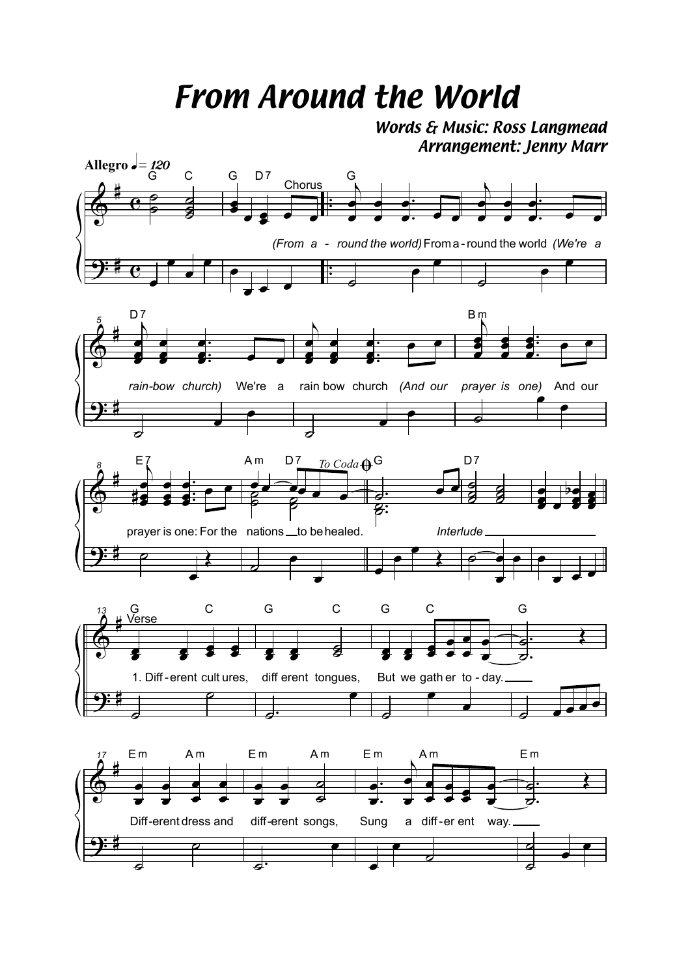## *From Around the World*

*Words & Music: Ross Langmead Arrangement: Jenny Marr*